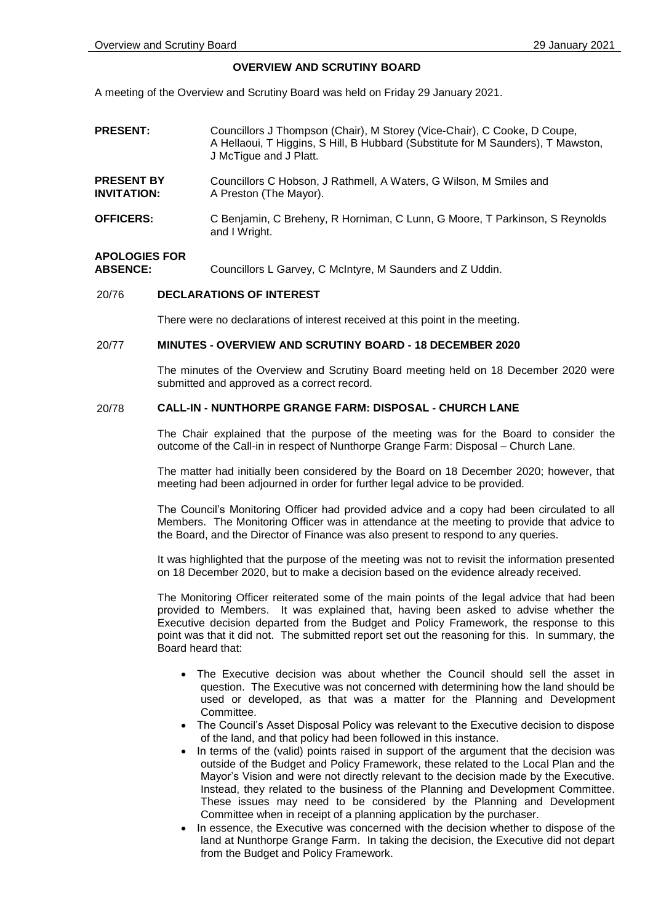### **OVERVIEW AND SCRUTINY BOARD**

A meeting of the Overview and Scrutiny Board was held on Friday 29 January 2021.

- **PRESENT:** Councillors J Thompson (Chair), M Storey (Vice-Chair), C Cooke, D Coupe, A Hellaoui, T Higgins, S Hill, B Hubbard (Substitute for M Saunders), T Mawston, J McTigue and J Platt. **PRESENT BY INVITATION:** Councillors C Hobson, J Rathmell, A Waters, G Wilson, M Smiles and A Preston (The Mayor).
- **OFFICERS:** C Benjamin, C Breheny, R Horniman, C Lunn, G Moore, T Parkinson, S Reynolds and I Wright.

# **APOLOGIES FOR**

Councillors L Garvey, C McIntyre, M Saunders and Z Uddin.

## 20/76 **DECLARATIONS OF INTEREST**

There were no declarations of interest received at this point in the meeting.

### 20/77 **MINUTES - OVERVIEW AND SCRUTINY BOARD - 18 DECEMBER 2020**

The minutes of the Overview and Scrutiny Board meeting held on 18 December 2020 were submitted and approved as a correct record.

### 20/78 **CALL-IN - NUNTHORPE GRANGE FARM: DISPOSAL - CHURCH LANE**

The Chair explained that the purpose of the meeting was for the Board to consider the outcome of the Call-in in respect of Nunthorpe Grange Farm: Disposal – Church Lane.

The matter had initially been considered by the Board on 18 December 2020; however, that meeting had been adjourned in order for further legal advice to be provided.

The Council's Monitoring Officer had provided advice and a copy had been circulated to all Members. The Monitoring Officer was in attendance at the meeting to provide that advice to the Board, and the Director of Finance was also present to respond to any queries.

It was highlighted that the purpose of the meeting was not to revisit the information presented on 18 December 2020, but to make a decision based on the evidence already received.

The Monitoring Officer reiterated some of the main points of the legal advice that had been provided to Members. It was explained that, having been asked to advise whether the Executive decision departed from the Budget and Policy Framework, the response to this point was that it did not. The submitted report set out the reasoning for this. In summary, the Board heard that:

- The Executive decision was about whether the Council should sell the asset in question. The Executive was not concerned with determining how the land should be used or developed, as that was a matter for the Planning and Development Committee.
- The Council's Asset Disposal Policy was relevant to the Executive decision to dispose of the land, and that policy had been followed in this instance.
- In terms of the (valid) points raised in support of the argument that the decision was outside of the Budget and Policy Framework, these related to the Local Plan and the Mayor's Vision and were not directly relevant to the decision made by the Executive. Instead, they related to the business of the Planning and Development Committee. These issues may need to be considered by the Planning and Development Committee when in receipt of a planning application by the purchaser.
- In essence, the Executive was concerned with the decision whether to dispose of the land at Nunthorpe Grange Farm. In taking the decision, the Executive did not depart from the Budget and Policy Framework.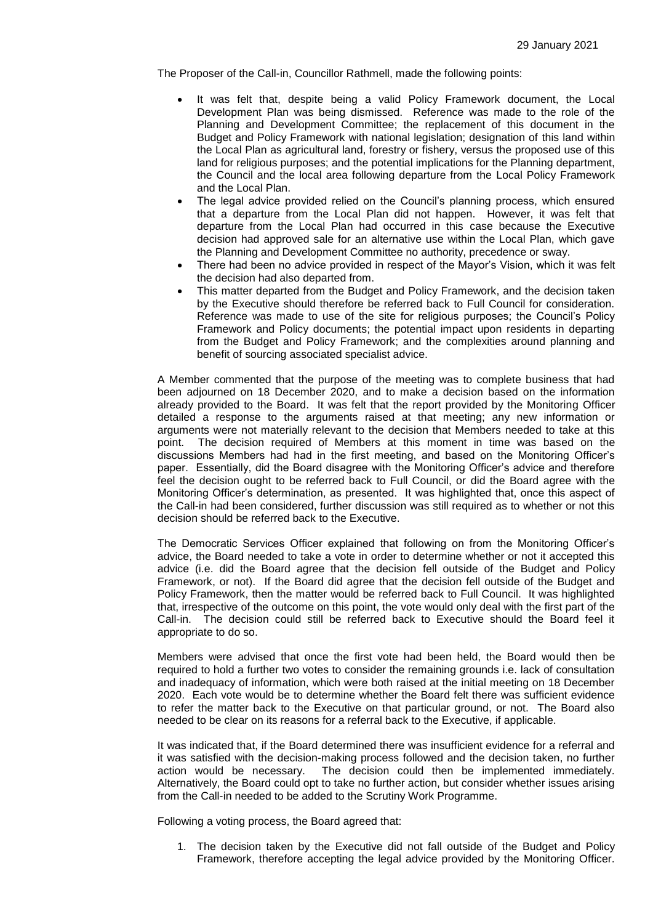The Proposer of the Call-in, Councillor Rathmell, made the following points:

- It was felt that, despite being a valid Policy Framework document, the Local Development Plan was being dismissed. Reference was made to the role of the Planning and Development Committee; the replacement of this document in the Budget and Policy Framework with national legislation; designation of this land within the Local Plan as agricultural land, forestry or fishery, versus the proposed use of this land for religious purposes; and the potential implications for the Planning department, the Council and the local area following departure from the Local Policy Framework and the Local Plan.
- The legal advice provided relied on the Council's planning process, which ensured that a departure from the Local Plan did not happen. However, it was felt that departure from the Local Plan had occurred in this case because the Executive decision had approved sale for an alternative use within the Local Plan, which gave the Planning and Development Committee no authority, precedence or sway.
- There had been no advice provided in respect of the Mayor's Vision, which it was felt the decision had also departed from.
- This matter departed from the Budget and Policy Framework, and the decision taken by the Executive should therefore be referred back to Full Council for consideration. Reference was made to use of the site for religious purposes; the Council's Policy Framework and Policy documents; the potential impact upon residents in departing from the Budget and Policy Framework; and the complexities around planning and benefit of sourcing associated specialist advice.

A Member commented that the purpose of the meeting was to complete business that had been adjourned on 18 December 2020, and to make a decision based on the information already provided to the Board. It was felt that the report provided by the Monitoring Officer detailed a response to the arguments raised at that meeting; any new information or arguments were not materially relevant to the decision that Members needed to take at this point. The decision required of Members at this moment in time was based on the discussions Members had had in the first meeting, and based on the Monitoring Officer's paper. Essentially, did the Board disagree with the Monitoring Officer's advice and therefore feel the decision ought to be referred back to Full Council, or did the Board agree with the Monitoring Officer's determination, as presented. It was highlighted that, once this aspect of the Call-in had been considered, further discussion was still required as to whether or not this decision should be referred back to the Executive.

The Democratic Services Officer explained that following on from the Monitoring Officer's advice, the Board needed to take a vote in order to determine whether or not it accepted this advice (i.e. did the Board agree that the decision fell outside of the Budget and Policy Framework, or not). If the Board did agree that the decision fell outside of the Budget and Policy Framework, then the matter would be referred back to Full Council. It was highlighted that, irrespective of the outcome on this point, the vote would only deal with the first part of the Call-in. The decision could still be referred back to Executive should the Board feel it appropriate to do so.

Members were advised that once the first vote had been held, the Board would then be required to hold a further two votes to consider the remaining grounds i.e. lack of consultation and inadequacy of information, which were both raised at the initial meeting on 18 December 2020. Each vote would be to determine whether the Board felt there was sufficient evidence to refer the matter back to the Executive on that particular ground, or not. The Board also needed to be clear on its reasons for a referral back to the Executive, if applicable.

It was indicated that, if the Board determined there was insufficient evidence for a referral and it was satisfied with the decision-making process followed and the decision taken, no further action would be necessary. The decision could then be implemented immediately. Alternatively, the Board could opt to take no further action, but consider whether issues arising from the Call-in needed to be added to the Scrutiny Work Programme.

Following a voting process, the Board agreed that:

1. The decision taken by the Executive did not fall outside of the Budget and Policy Framework, therefore accepting the legal advice provided by the Monitoring Officer.